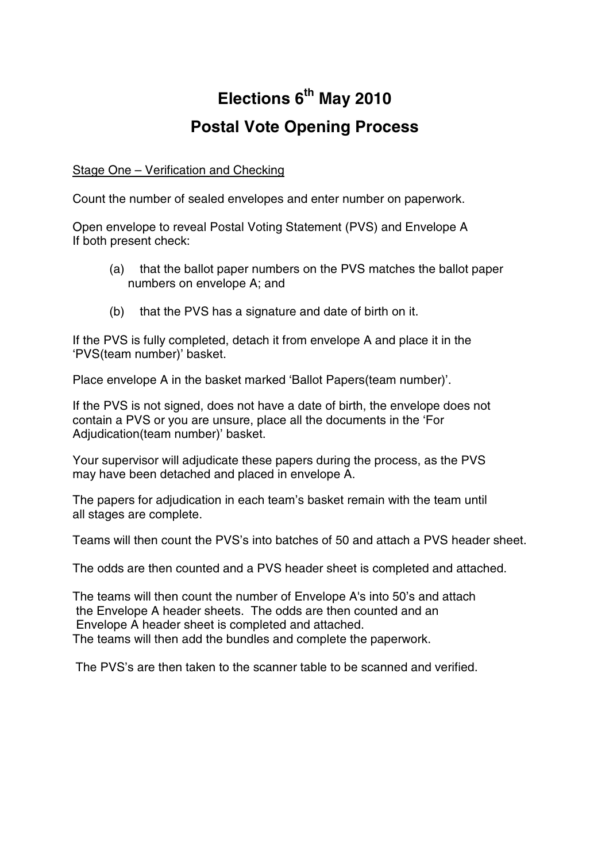# **Elections 6th May 2010 Postal Vote Opening Process**

## Stage One – Verification and Checking

Count the number of sealed envelopes and enter number on paperwork.

Open envelope to reveal Postal Voting Statement (PVS) and Envelope A If both present check:

- (a) that the ballot paper numbers on the PVS matches the ballot paper numbers on envelope A; and
- (b) that the PVS has a signature and date of birth on it.

If the PVS is fully completed, detach it from envelope A and place it in the 'PVS(team number)' basket.

Place envelope A in the basket marked 'Ballot Papers(team number)'.

If the PVS is not signed, does not have a date of birth, the envelope does not contain a PVS or you are unsure, place all the documents in the 'For Adjudication(team number)' basket.

Your supervisor will adjudicate these papers during the process, as the PVS may have been detached and placed in envelope A.

The papers for adjudication in each team's basket remain with the team until all stages are complete.

Teams will then count the PVS's into batches of 50 and attach a PVS header sheet.

The odds are then counted and a PVS header sheet is completed and attached.

The teams will then count the number of Envelope A's into 50's and attach the Envelope A header sheets. The odds are then counted and an Envelope A header sheet is completed and attached. The teams will then add the bundles and complete the paperwork.

The PVS's are then taken to the scanner table to be scanned and verified.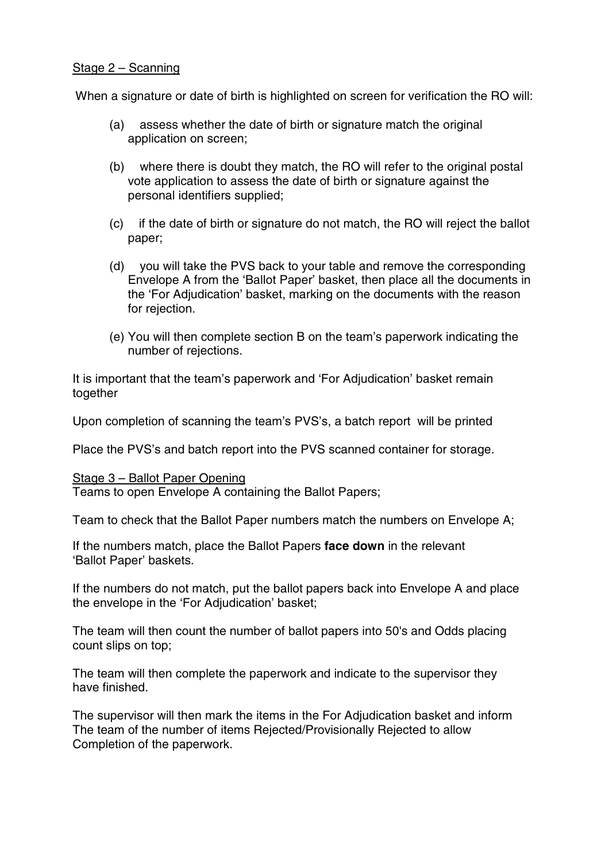#### Stage 2 – Scanning

When a signature or date of birth is highlighted on screen for verification the RO will:

- (a) assess whether the date of birth or signature match the original application on screen;
- (b) where there is doubt they match, the RO will refer to the original postal vote application to assess the date of birth or signature against the personal identifiers supplied;
- (c) if the date of birth or signature do not match, the RO will reject the ballot paper;
- (d) you will take the PVS back to your table and remove the corresponding Envelope A from the 'Ballot Paper' basket, then place all the documents in the 'For Adjudication' basket, marking on the documents with the reason for rejection.
- (e) You will then complete section B on the team's paperwork indicating the number of rejections.

It is important that the team's paperwork and 'For Adjudication' basket remain together

Upon completion of scanning the team's PVS's, a batch report will be printed

Place the PVS's and batch report into the PVS scanned container for storage.

#### Stage 3 – Ballot Paper Opening

Teams to open Envelope A containing the Ballot Papers;

Team to check that the Ballot Paper numbers match the numbers on Envelope A;

If the numbers match, place the Ballot Papers **face down** in the relevant 'Ballot Paper' baskets.

If the numbers do not match, put the ballot papers back into Envelope A and place the envelope in the 'For Adjudication' basket;

The team will then count the number of ballot papers into 50's and Odds placing count slips on top;

The team will then complete the paperwork and indicate to the supervisor they have finished.

The supervisor will then mark the items in the For Adjudication basket and inform The team of the number of items Rejected/Provisionally Rejected to allow Completion of the paperwork.